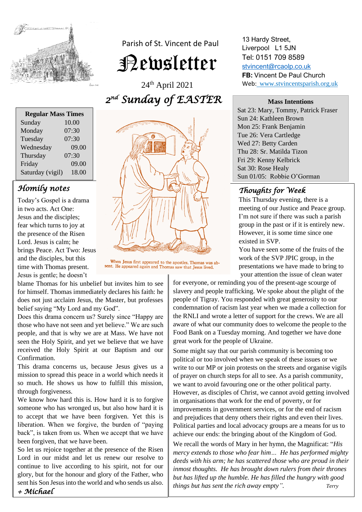

Parish of St. Vincent de Paul

Newsletter

24th April 2021 *2 nd Sunday of EASTER* 

| <b>Regular Mass Times</b> |       |
|---------------------------|-------|
| Sunday                    | 10.00 |
| Monday                    | 07:30 |
| Tuesday                   | 07:30 |
| Wednesday                 | 09.00 |
| Thursday                  | 07:30 |
| Friday                    | 09.00 |
| Saturday (vigil)          | 18.00 |

## *Homily notes*

Today's Gospel is a drama in two acts. Act One: Jesus and the disciples; fear which turns to joy at the presence of the Risen Lord. Jesus is calm; he brings Peace. Act Two: Jesus and the disciples, but this time with Thomas present. Jesus is gentle; he doesn't

When Jesus first appeared to the apostles, Thomas was absent. He appeared again and Thomas saw that Jesus lived.

blame Thomas for his unbelief but invites him to see for himself. Thomas immediately declares his faith: he does not just acclaim Jesus, the Master, but professes belief saying "My Lord and my God".

Does this drama concern us? Surely since "Happy are those who have not seen and yet believe." We are such people, and that is why we are at Mass. We have not seen the Holy Spirit, and yet we believe that we have received the Holy Spirit at our Baptism and our Confirmation.

This drama concerns us, because Jesus gives us a mission to spread this peace in a world which needs it so much. He shows us how to fulfill this mission, through forgiveness.

We know how hard this is. How hard it is to forgive someone who has wronged us, but also how hard it is to accept that we have been forgiven. Yet this is liberation. When we forgive, the burden of "paying back", is taken from us. When we accept that we have been forgiven, that we have been.

So let us rejoice together at the presence of the Risen Lord in our midst and let us renew our resolve to continue to live according to his spirit, not for our glory, but for the honour and glory of the Father, who sent his Son Jesus into the world and who sends us also. *+ Michael*



13 Hardy Street, Liverpool L1 5JN Tel: 0151 709 8589 [stvincent@rcaolp.co.uk](mailto:stvincent@rcaolp.co.uk) **FB:** Vincent De Paul Church Web: www.stvincentsparish.org.uk

#### **Mass Intentions**

Sat 23: Mary, Tommy, Patrick Fraser Sun 24: Kathleen Brown Mon 25: Frank Benjamin Tue 26: Vera Cartledge Wed 27: Betty Carden Thu 28: Sr. Matilda Tizon Fri 29: Kenny Kelbrick Sat 30: Rose Healy Sun 01/05: Robbie O'Gorman

#### *Thoughts for Week*  j

This Thursday evening, there is a meeting of our Justice and Peace group. I'm not sure if there was such a parish group in the past or if it is entirely new. However, it is some time since one existed in SVP.

You have seen some of the fruits of the work of the SVP JPIC group, in the presentations we have made to bring to your attention the issue of clean water

for everyone, or reminding you of the present-age scourge of slavery and people trafficking. We spoke about the plight of the people of Tigray. You responded with great generosity to our condemnation of racism last year when we made a collection for the RNLI and wrote a letter of support for the crews. We are all aware of what our community does to welcome the people to the Food Bank on a Tuesday morning. And together we have done great work for the people of Ukraine.

Some might say that our parish community is becoming too political or too involved when we speak of these issues or we write to our MP or join protests on the streets and organise vigils of prayer on church steps for all to see. As a parish community, we want to avoid favouring one or the other political party. However, as disciples of Christ, we cannot avoid getting involved in organisations that work for the end of poverty, or for improvements in government services, or for the end of racism and prejudices that deny others their rights and even their lives. Political parties and local advocacy groups are a means for us to achieve our ends: the bringing about of the Kingdom of God.

We recall the words of Mary in her hymn, the Magnificat: "*His mercy extends to those who fear him… [H](https://www.biblestudytools.com/luke/1-51.html)e has performed mighty deeds with his arm; he has scattered those who are proud in their inmost thoughts. [H](https://www.biblestudytools.com/luke/1-52.html)e has brought down rulers from their thrones but has lifted up the humble. He has filled the hungry with good things but has sent the rich away empty". Terry*